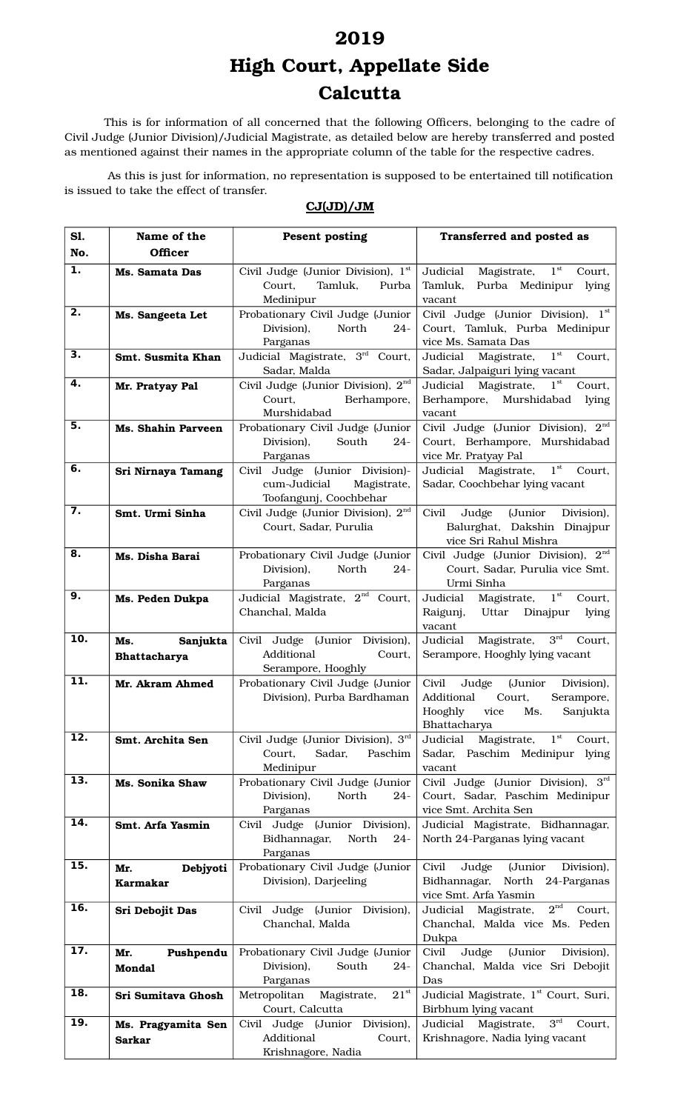## **2019**

## **High Court, Appellate Side Calcutta**

This is for information of all concerned that the following Officers, belonging to the cadre of Civil Judge (Junior Division)/Judicial Magistrate, as detailed below are hereby transferred and posted as mentioned against their names in the appropriate column of the table for the respective cadres.

As this is just for information, no representation is supposed to be entertained till notification is issued to take the effect of transfer.

| S1.                       | Name of the                            | <b>Pesent posting</b>                                                                   | Transferred and posted as                                                                                                           |
|---------------------------|----------------------------------------|-----------------------------------------------------------------------------------------|-------------------------------------------------------------------------------------------------------------------------------------|
| No.                       | <b>Officer</b>                         |                                                                                         |                                                                                                                                     |
| 1.                        | Ms. Samata Das                         | Civil Judge (Junior Division), 1st<br>Court,<br>Tamluk,<br>Purba<br>Medinipur           | Magistrate, $1st$<br>Judicial<br>Court,<br>Purba Medinipur<br>Tamluk,<br>lying<br>vacant                                            |
| $\overline{2}$ .          | Ms. Sangeeta Let                       | Probationary Civil Judge (Junior<br>Division),<br>North<br>$24 -$<br>Parganas           | Civil Judge (Junior Division), 1st<br>Court, Tamluk, Purba Medinipur<br>vice Ms. Samata Das                                         |
| $\overline{\mathbf{3}}$ . | Smt. Susmita Khan                      | Judicial Magistrate, 3rd<br>Court,<br>Sadar, Malda                                      | $1^{\rm st}$<br>Judicial Magistrate,<br>Court,<br>Sadar, Jalpaiguri lying vacant                                                    |
| 4.                        | Mr. Pratyay Pal                        | Civil Judge (Junior Division), $2^{nd}$<br>Court,<br>Berhampore,<br>Murshidabad         | Magistrate,<br>$1^{\rm st}$<br>Court,<br>Judicial<br>Murshidabad<br>Berhampore,<br>lying<br>vacant                                  |
| 5.                        | Ms. Shahin Parveen                     | Probationary Civil Judge (Junior<br>Division),<br>South<br>$24 -$<br>Parganas           | Civil Judge (Junior Division), $2nd$<br>Court, Berhampore, Murshidabad<br>vice Mr. Pratyay Pal                                      |
| 6.                        | Sri Nirnaya Tamang                     | Civil Judge (Junior Division)-<br>cum-Judicial<br>Magistrate,<br>Toofangunj, Coochbehar | $1^{\rm st}$<br>Judicial Magistrate,<br>Court,<br>Sadar, Coochbehar lying vacant                                                    |
| 7.                        | Smt. Urmi Sinha                        | Civil Judge (Junior Division), 2 <sup>nd</sup><br>Court, Sadar, Purulia                 | Civil<br>(Junior<br>Judge<br>Division),<br>Balurghat, Dakshin Dinajpur<br>vice Sri Rahul Mishra                                     |
| 8.                        | Ms. Disha Barai                        | Probationary Civil Judge (Junior<br>Division),<br>North<br>$24 -$<br>Parganas           | Civil Judge (Junior Division), 2 <sup>nd</sup><br>Court, Sadar, Purulia vice Smt.<br>Urmi Sinha                                     |
| 9.                        | Ms. Peden Dukpa                        | Judicial Magistrate, $2^{nd}$<br>Court,<br>Chanchal, Malda                              | $1^{\rm st}$<br>Judicial<br>Magistrate,<br>Court,<br>Raigunj,<br>Uttar<br>Dinajpur<br>lying<br>vacant                               |
| 10.                       | Sanjukta<br>Ms.<br><b>Bhattacharya</b> | Civil Judge (Junior Division),<br>Additional<br>Court,<br>Serampore, Hooghly            | $3^{\text{rd}}$<br>Judicial<br>Magistrate,<br>Court,<br>Serampore, Hooghly lying vacant                                             |
| $\overline{11}$ .         | Mr. Akram Ahmed                        | Probationary Civil Judge (Junior<br>Division), Purba Bardhaman                          | Civil<br>Judge<br>(Junior<br>Division),<br>Additional<br>Court,<br>Serampore,<br>Hooghly<br>Ms.<br>Sanjukta<br>vice<br>Bhattacharya |
| 12.                       | Smt. Archita Sen                       | Civil Judge (Junior Division), 3rd<br>Court,<br>Sadar,<br>Paschim<br>Medinipur          | $1^{\rm st}$<br>Judicial<br>Magistrate,<br>Court,<br>Sadar, Paschim Medinipur lying<br>vacant                                       |
| $\overline{13}$ .         | Ms. Sonika Shaw                        | Probationary Civil Judge (Junior<br>Division),<br>North<br>$24-$<br>Parganas            | Civil Judge (Junior Division), 3rd<br>Court, Sadar, Paschim Medinipur<br>vice Smt. Archita Sen                                      |
| 14.                       | Smt. Arfa Yasmin                       | Civil Judge (Junior Division),<br>Bidhannagar,<br>North<br>$24 -$<br>Parganas           | Judicial Magistrate, Bidhannagar,<br>North 24-Parganas lying vacant                                                                 |
| 15.                       | Debjyoti<br>Mr.<br><b>Karmakar</b>     | Probationary Civil Judge (Junior<br>Division), Darjeeling                               | (Junior<br>Civil<br>Judge<br>Division),<br>Bidhannagar,<br>North<br>24-Parganas<br>vice Smt. Arfa Yasmin                            |
| 16.                       | Sri Debojit Das                        | Civil Judge (Junior Division),<br>Chanchal, Malda                                       | $2^{\text{nd}}$<br>Judicial Magistrate,<br>Court,<br>Chanchal, Malda vice Ms. Peden<br>Dukpa                                        |
| 17.                       | Pushpendu<br>Mr.<br><b>Mondal</b>      | Probationary Civil Judge (Junior<br>Division),<br>South<br>$24-$<br>Parganas            | Judge<br>(Junior<br>Civil<br>Division),<br>Chanchal, Malda vice Sri Debojit<br>Das                                                  |
| $\overline{18}$ .         | Sri Sumitava Ghosh                     | $21^{st}$<br>Metropolitan<br>Magistrate,<br>Court, Calcutta                             | Judicial Magistrate, 1 <sup>st</sup> Court, Suri,<br>Birbhum lying vacant                                                           |
| 19.                       | Ms. Pragyamita Sen<br><b>Sarkar</b>    | Civil Judge (Junior Division),<br>Additional<br>Court,<br>Krishnagore, Nadia            | $3^{\rm rd}$<br>Judicial Magistrate,<br>Court,<br>Krishnagore, Nadia lying vacant                                                   |

## **CJ(JD)/JM**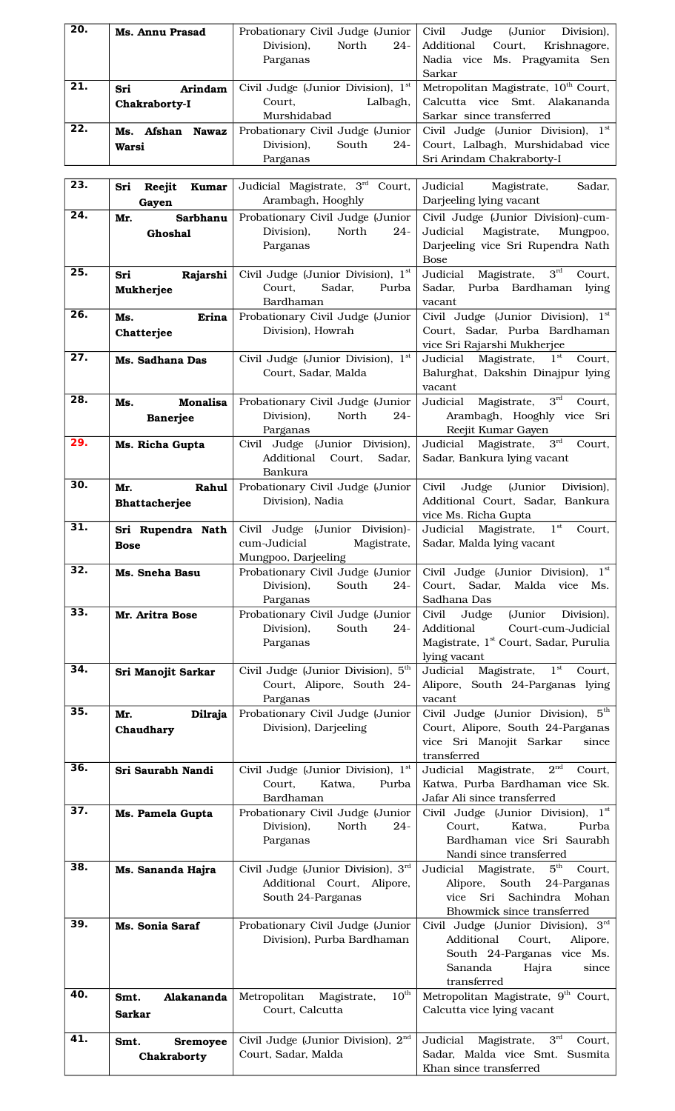| 20.               | <b>Ms. Annu Prasad</b>                 | Probationary Civil Judge (Junior<br>Division),<br>North<br>$24 -$ | Judge<br>(Junior<br>Civil<br>Division),<br>Additional<br>Court,<br>Krishnagore,                     |
|-------------------|----------------------------------------|-------------------------------------------------------------------|-----------------------------------------------------------------------------------------------------|
|                   |                                        | Parganas                                                          | Nadia vice Ms. Pragyamita Sen<br>Sarkar                                                             |
| 21.               | Arindam<br>Sri                         | Civil Judge (Junior Division), 1st                                | Metropolitan Magistrate, 10 <sup>th</sup> Court,                                                    |
|                   | Chakraborty-I                          | Court,<br>Lalbagh,<br>Murshidabad                                 | Calcutta vice Smt. Alakananda<br>Sarkar since transferred                                           |
| $\overline{22}$ . | Ms. Afshan Nawaz                       | Probationary Civil Judge (Junior                                  | Civil Judge (Junior Division), 1st                                                                  |
|                   | Warsi                                  | Division),<br>South<br>$24 -$<br>Parganas                         | Court, Lalbagh, Murshidabad vice<br>Sri Arindam Chakraborty-I                                       |
| 23.               | Sri<br>Reejit<br><b>Kumar</b>          | Judicial Magistrate, 3rd<br>Court,                                | Judicial<br>Sadar,<br>Magistrate,                                                                   |
| 24.               | Gayen<br>Sarbhanu<br>Mr.               | Arambagh, Hooghly<br>Probationary Civil Judge (Junior             | Darjeeling lying vacant<br>Civil Judge (Junior Division)-cum-                                       |
|                   | Ghoshal                                | Division),<br>North<br>$24-$                                      | Judicial<br>Magistrate,<br>Mungpoo,                                                                 |
|                   |                                        | Parganas                                                          | Darjeeling vice Sri Rupendra Nath<br><b>Bose</b>                                                    |
| 25.               | Sri<br>Rajarshi                        | Civil Judge (Junior Division), 1st                                | $3^{\text{rd}}$<br>Judicial<br>Magistrate,<br>Court,                                                |
|                   | Mukherjee                              | Court,<br>Sadar,<br>Purba<br>Bardhaman                            | Sadar,<br>Purba Bardhaman<br>lying<br>vacant                                                        |
| 26.               | Erina<br>Ms.                           | Probationary Civil Judge (Junior<br>Division), Howrah             | Civil Judge (Junior Division), 1st<br>Court, Sadar, Purba Bardhaman                                 |
|                   | Chatterjee                             |                                                                   | vice Sri Rajarshi Mukherjee                                                                         |
| $\overline{27}$ . | Ms. Sadhana Das                        | Civil Judge (Junior Division), 1st<br>Court, Sadar, Malda         | $1^{\rm st}$<br>Court,<br>Judicial Magistrate,<br>Balurghat, Dakshin Dinajpur lying                 |
|                   |                                        |                                                                   | vacant                                                                                              |
| $\overline{28}$ . | <b>Monalisa</b><br>Ms.<br>Banerjee     | Probationary Civil Judge (Junior<br>Division),<br>North<br>$24 -$ | $3^{rd}$<br>Judicial<br>Magistrate,<br>Court,<br>Arambagh, Hooghly vice Sri                         |
| 29.               |                                        | Parganas                                                          | Reejit Kumar Gayen                                                                                  |
|                   | Ms. Richa Gupta                        | Civil Judge (Junior Division),<br>Additional<br>Court,<br>Sadar,  | $3^{\rm rd}$<br>Judicial Magistrate,<br>Court,<br>Sadar, Bankura lying vacant                       |
| 30.               |                                        | Bankura                                                           |                                                                                                     |
|                   | Rahul<br>Mr.<br>Bhattacherjee          | Probationary Civil Judge (Junior<br>Division), Nadia              | Civil<br>Judge<br>(Junior<br>Division),<br>Additional Court, Sadar, Bankura<br>vice Ms. Richa Gupta |
| 31.               | Sri Rupendra Nath                      | Civil Judge (Junior Division)-                                    | Judicial Magistrate, 1st<br>Court,                                                                  |
|                   | <b>Bose</b>                            | Magistrate,<br>cum-Judicial<br>Mungpoo, Darjeeling                | Sadar, Malda lying vacant                                                                           |
| 32.               | Ms. Sneha Basu                         | Probationary Civil Judge (Junior<br>South<br>Division),<br>$24 -$ | Civil Judge (Junior Division), 1st<br>Court,<br>Sadar,<br>Malda<br>vice<br>Ms.                      |
|                   |                                        | Parganas                                                          | Sadhana Das                                                                                         |
| 33.               | Mr. Aritra Bose                        | Probationary Civil Judge (Junior<br>Division),<br>South<br>$24 -$ | Civil<br>Judge<br>(Junior Division),<br>Additional<br>Court-cum-Judicial                            |
|                   |                                        | Parganas                                                          | Magistrate, 1 <sup>st</sup> Court, Sadar, Purulia                                                   |
| 34.               | Sri Manojit Sarkar                     | Civil Judge (Junior Division), 5 <sup>th</sup>                    | lying vacant<br>Magistrate, $1st$<br>Judicial<br>Court,                                             |
|                   |                                        | Court, Alipore, South 24-<br>Parganas                             | Alipore, South 24-Parganas lying<br>vacant                                                          |
| 35.               | Dilraja<br>Mr.                         | Probationary Civil Judge (Junior                                  | Civil Judge (Junior Division), 5th                                                                  |
|                   | Chaudhary                              | Division), Darjeeling                                             | Court, Alipore, South 24-Parganas<br>vice Sri Manojit Sarkar<br>since                               |
| 36.               |                                        |                                                                   | transferred<br>$2^{\rm nd}$                                                                         |
|                   | Sri Saurabh Nandi                      | Civil Judge (Junior Division), 1st<br>Court,<br>Katwa,<br>Purba   | Judicial Magistrate,<br>Court,<br>Katwa, Purba Bardhaman vice Sk.                                   |
| 37.               | Ms. Pamela Gupta                       | Bardhaman<br>Probationary Civil Judge (Junior                     | Jafar Ali since transferred<br>Civil Judge (Junior Division), 1st                                   |
|                   |                                        | Division),<br>North<br>$24 -$                                     | Court.<br>Katwa,<br>Purba                                                                           |
|                   |                                        | Parganas                                                          | Bardhaman vice Sri Saurabh<br>Nandi since transferred                                               |
| 38.               | Ms. Sananda Hajra                      | Civil Judge (Junior Division), 3rd                                | $5^{\text{th}}$<br>Judicial Magistrate,<br>Court,                                                   |
|                   |                                        | Additional Court, Alipore,<br>South 24-Parganas                   | South<br>Alipore,<br>24-Parganas<br>Sachindra<br>vice<br>Sri<br>Mohan                               |
| 39.               | Ms. Sonia Saraf                        | Probationary Civil Judge (Junior                                  | Bhowmick since transferred<br>Civil Judge (Junior Division), $3^{\frac{rd}{}}$                      |
|                   |                                        | Division), Purba Bardhaman                                        | Court,<br>Additional<br>Alipore,                                                                    |
|                   |                                        |                                                                   | South 24-Parganas vice Ms.<br>Sananda<br>Hajra<br>since                                             |
| 40.               |                                        | $10^{\text{th}}$                                                  | transferred                                                                                         |
|                   | Alakananda<br>Smt.<br><b>Sarkar</b>    | Metropolitan Magistrate,<br>Court, Calcutta                       | Metropolitan Magistrate, 9 <sup>th</sup> Court,<br>Calcutta vice lying vacant                       |
| 41.               |                                        | Civil Judge (Junior Division), 2 <sup>nd</sup>                    | $3^{\text{rd}}$<br>Magistrate,<br>Judicial<br>Court,                                                |
|                   | Smt.<br><b>Sremoyee</b><br>Chakraborty | Court, Sadar, Malda                                               | Sadar, Malda vice Smt. Susmita                                                                      |
|                   |                                        |                                                                   | Khan since transferred                                                                              |